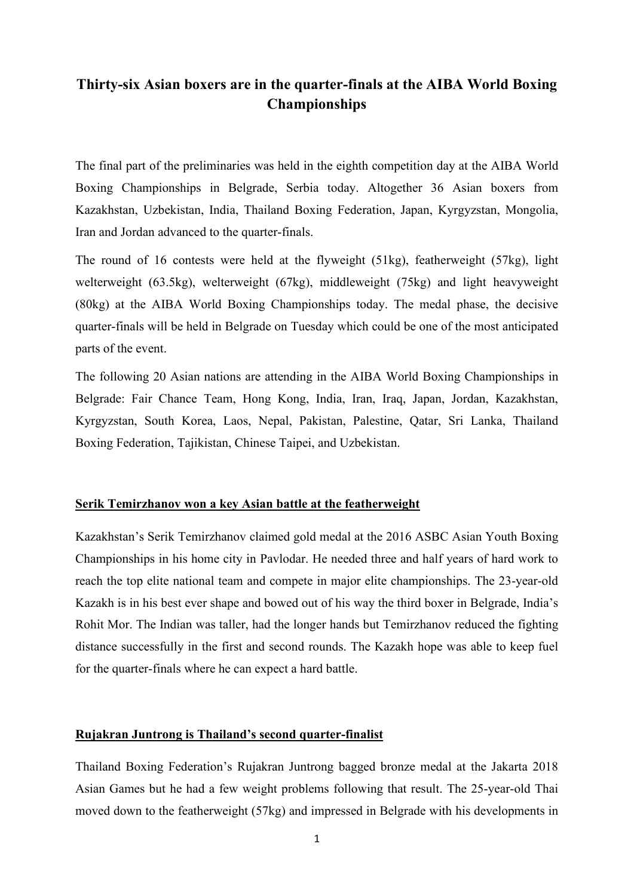# **Thirty-six Asian boxers are in the quarter-finals at the AIBA World Boxing Championships**

The final part of the preliminaries was held in the eighth competition day at the AIBA World Boxing Championships in Belgrade, Serbia today. Altogether 36 Asian boxers from Kazakhstan, Uzbekistan, India, Thailand Boxing Federation, Japan, Kyrgyzstan, Mongolia, Iran and Jordan advanced to the quarter-finals.

The round of 16 contests were held at the flyweight (51kg), featherweight (57kg), light welterweight (63.5kg), welterweight (67kg), middleweight (75kg) and light heavyweight (80kg) at the AIBA World Boxing Championships today. The medal phase, the decisive quarter-finals will be held in Belgrade on Tuesday which could be one of the most anticipated parts of the event.

The following 20 Asian nations are attending in the AIBA World Boxing Championships in Belgrade: Fair Chance Team, Hong Kong, India, Iran, Iraq, Japan, Jordan, Kazakhstan, Kyrgyzstan, South Korea, Laos, Nepal, Pakistan, Palestine, Qatar, Sri Lanka, Thailand Boxing Federation, Tajikistan, Chinese Taipei, and Uzbekistan.

## **Serik Temirzhanov won a key Asian battle at the featherweight**

Kazakhstan's Serik Temirzhanov claimed gold medal at the 2016 ASBC Asian Youth Boxing Championships in his home city in Pavlodar. He needed three and half years of hard work to reach the top elite national team and compete in major elite championships. The 23-year-old Kazakh is in his best ever shape and bowed out of his way the third boxer in Belgrade, India's Rohit Mor. The Indian was taller, had the longer hands but Temirzhanov reduced the fighting distance successfully in the first and second rounds. The Kazakh hope was able to keep fuel for the quarter-finals where he can expect a hard battle.

#### **Rujakran Juntrong is Thailand's second quarter-finalist**

Thailand Boxing Federation's Rujakran Juntrong bagged bronze medal at the Jakarta 2018 Asian Games but he had a few weight problems following that result. The 25-year-old Thai moved down to the featherweight (57kg) and impressed in Belgrade with his developments in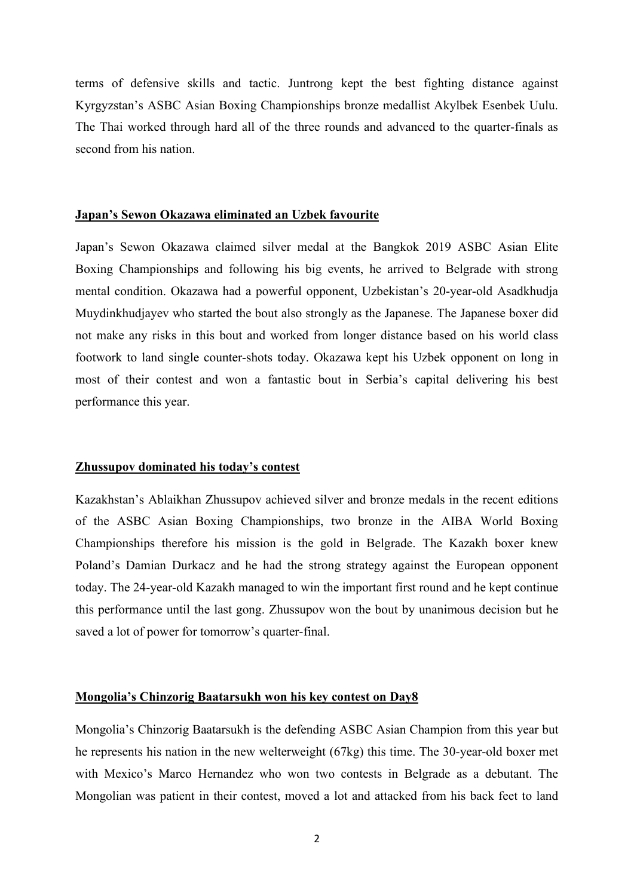terms of defensive skills and tactic. Juntrong kept the best fighting distance against Kyrgyzstan's ASBC Asian Boxing Championships bronze medallist Akylbek Esenbek Uulu. The Thai worked through hard all of the three rounds and advanced to the quarter-finals as second from his nation.

## **Japan's Sewon Okazawa eliminated an Uzbek favourite**

Japan's Sewon Okazawa claimed silver medal at the Bangkok 2019 ASBC Asian Elite Boxing Championships and following his big events, he arrived to Belgrade with strong mental condition. Okazawa had a powerful opponent, Uzbekistan's 20-year-old Asadkhudja Muydinkhudjayev who started the bout also strongly as the Japanese. The Japanese boxer did not make any risks in this bout and worked from longer distance based on his world class footwork to land single counter-shots today. Okazawa kept his Uzbek opponent on long in most of their contest and won a fantastic bout in Serbia's capital delivering his best performance this year.

#### **Zhussupov dominated his today's contest**

Kazakhstan's Ablaikhan Zhussupov achieved silver and bronze medals in the recent editions of the ASBC Asian Boxing Championships, two bronze in the AIBA World Boxing Championships therefore his mission is the gold in Belgrade. The Kazakh boxer knew Poland's Damian Durkacz and he had the strong strategy against the European opponent today. The 24-year-old Kazakh managed to win the important first round and he kept continue this performance until the last gong. Zhussupov won the bout by unanimous decision but he saved a lot of power for tomorrow's quarter-final.

# **Mongolia's Chinzorig Baatarsukh won his key contest on Day8**

Mongolia's Chinzorig Baatarsukh is the defending ASBC Asian Champion from this year but he represents his nation in the new welterweight (67kg) this time. The 30-year-old boxer met with Mexico's Marco Hernandez who won two contests in Belgrade as a debutant. The Mongolian was patient in their contest, moved a lot and attacked from his back feet to land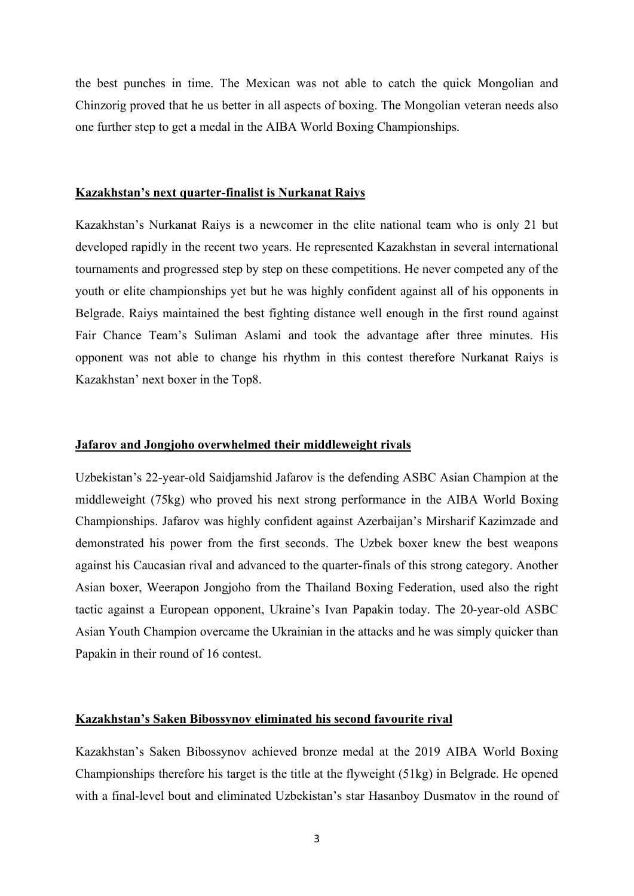the best punches in time. The Mexican was not able to catch the quick Mongolian and Chinzorig proved that he us better in all aspects of boxing. The Mongolian veteran needs also one further step to get a medal in the AIBA World Boxing Championships.

#### **Kazakhstan's next quarter-finalist is Nurkanat Raiys**

Kazakhstan's Nurkanat Raiys is a newcomer in the elite national team who is only 21 but developed rapidly in the recent two years. He represented Kazakhstan in several international tournaments and progressed step by step on these competitions. He never competed any of the youth or elite championships yet but he was highly confident against all of his opponents in Belgrade. Raiys maintained the best fighting distance well enough in the first round against Fair Chance Team's Suliman Aslami and took the advantage after three minutes. His opponent was not able to change his rhythm in this contest therefore Nurkanat Raiys is Kazakhstan' next boxer in the Top8.

#### **Jafarov and Jongjoho overwhelmed their middleweight rivals**

Uzbekistan's 22-year-old Saidjamshid Jafarov is the defending ASBC Asian Champion at the middleweight (75kg) who proved his next strong performance in the AIBA World Boxing Championships. Jafarov was highly confident against Azerbaijan's Mirsharif Kazimzade and demonstrated his power from the first seconds. The Uzbek boxer knew the best weapons against his Caucasian rival and advanced to the quarter-finals of this strong category. Another Asian boxer, Weerapon Jongjoho from the Thailand Boxing Federation, used also the right tactic against a European opponent, Ukraine's Ivan Papakin today. The 20-year-old ASBC Asian Youth Champion overcame the Ukrainian in the attacks and he was simply quicker than Papakin in their round of 16 contest.

# **Kazakhstan's Saken Bibossynov eliminated his second favourite rival**

Kazakhstan's Saken Bibossynov achieved bronze medal at the 2019 AIBA World Boxing Championships therefore his target is the title at the flyweight (51kg) in Belgrade. He opened with a final-level bout and eliminated Uzbekistan's star Hasanboy Dusmatov in the round of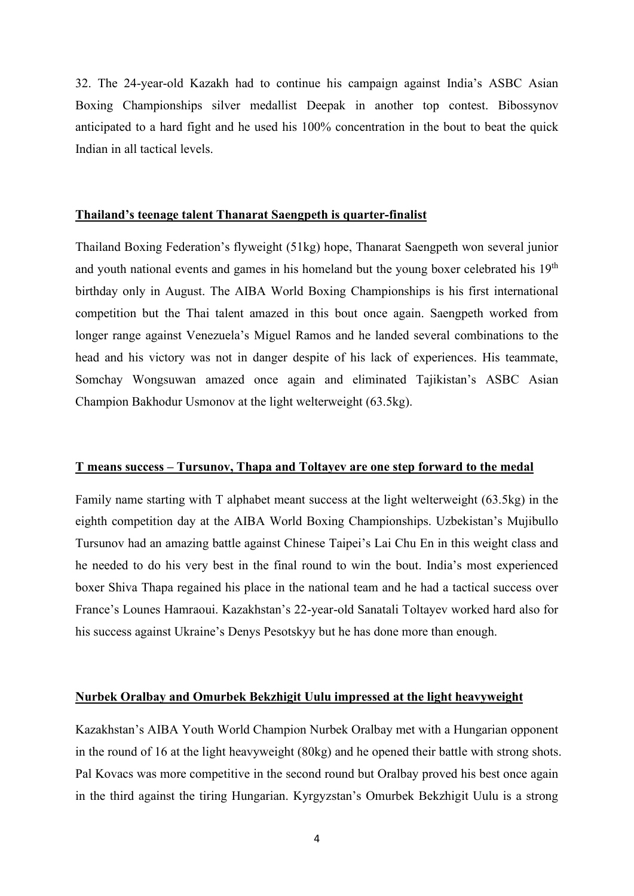32. The 24-year-old Kazakh had to continue his campaign against India's ASBC Asian Boxing Championships silver medallist Deepak in another top contest. Bibossynov anticipated to a hard fight and he used his 100% concentration in the bout to beat the quick Indian in all tactical levels.

## **Thailand's teenage talent Thanarat Saengpeth is quarter-finalist**

Thailand Boxing Federation's flyweight (51kg) hope, Thanarat Saengpeth won several junior and youth national events and games in his homeland but the young boxer celebrated his  $19<sup>th</sup>$ birthday only in August. The AIBA World Boxing Championships is his first international competition but the Thai talent amazed in this bout once again. Saengpeth worked from longer range against Venezuela's Miguel Ramos and he landed several combinations to the head and his victory was not in danger despite of his lack of experiences. His teammate, Somchay Wongsuwan amazed once again and eliminated Tajikistan's ASBC Asian Champion Bakhodur Usmonov at the light welterweight (63.5kg).

#### **T means success – Tursunov, Thapa and Toltayev are one step forward to the medal**

Family name starting with T alphabet meant success at the light welterweight (63.5kg) in the eighth competition day at the AIBA World Boxing Championships. Uzbekistan's Mujibullo Tursunov had an amazing battle against Chinese Taipei's Lai Chu En in this weight class and he needed to do his very best in the final round to win the bout. India's most experienced boxer Shiva Thapa regained his place in the national team and he had a tactical success over France's Lounes Hamraoui. Kazakhstan's 22-year-old Sanatali Toltayev worked hard also for his success against Ukraine's Denys Pesotskyy but he has done more than enough.

## **Nurbek Oralbay and Omurbek Bekzhigit Uulu impressed at the light heavyweight**

Kazakhstan's AIBA Youth World Champion Nurbek Oralbay met with a Hungarian opponent in the round of 16 at the light heavyweight (80kg) and he opened their battle with strong shots. Pal Kovacs was more competitive in the second round but Oralbay proved his best once again in the third against the tiring Hungarian. Kyrgyzstan's Omurbek Bekzhigit Uulu is a strong